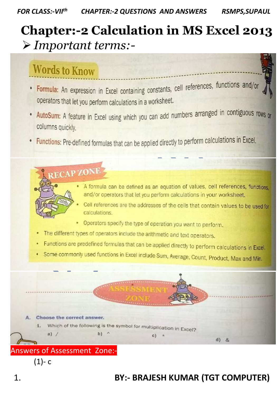# **Chapter:-2 Calculation in MS Excel 2013** *Important terms:-*

## **Words to Know**

- Formula: An expression in Excel containing constants, cell references, functions and/or operators that let you perform calculations in a worksheet.
- AutoSum: A feature in Excel using which you can add numbers arranged in contiguous rows or columns quickly.
- Functions: Pre-defined formulas that can be applied directly to perform calculations in Excel.

**RECAP ZONE** 

A formula can be defined as an equation of values, cell references, functions. and/or operators that let you perform calculations in your worksheet.

- Cell references are the addresses of the cells that contain values to be used for calculations.
- Operators specify the type of operation you want to perform.
- The different types of operators include the arithmetic and text operators.
- Functions are predefined formulas that can be applied directly to perform calculations in Excel.
- Some commonly used functions in Excel include Sum, Average, Count, Product, Max and Min.



 $(1)-c$ 

## 1. **BY:- BRAJESH KUMAR (TGT COMPUTER)**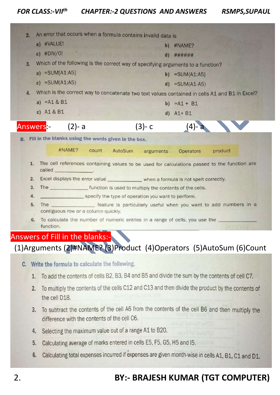| 2.  | An error that occurs when a formula contains invalid data is                                   |       |         |                              |                   |                                                                                              |  |
|-----|------------------------------------------------------------------------------------------------|-------|---------|------------------------------|-------------------|----------------------------------------------------------------------------------------------|--|
|     | a) #VALUE!                                                                                     |       |         | <b>CONTRACTOR</b> CONTRACTOR | b) #NAME?         |                                                                                              |  |
|     | c) $#DIV/OI$                                                                                   |       |         |                              | $d)$ ######       |                                                                                              |  |
| 3.  | Which of the following is the correct way of specifying arguments to a function?               |       |         |                              |                   |                                                                                              |  |
|     | a) $=SUM[A1:A5]$                                                                               |       |         |                              | $b) = SUM(A1:A5)$ |                                                                                              |  |
|     | c) $=SUM(A1:AS)$                                                                               |       |         |                              | $d) = SUM(A1-A5)$ |                                                                                              |  |
| 4.  | Which is the correct way to concatenate two text values contained in cells A1 and B1 in Excel? |       |         |                              |                   |                                                                                              |  |
|     | a) $=$ A1 & B1                                                                                 |       |         |                              | b) $= A1 + B1$    |                                                                                              |  |
|     | c) $A1 & B1$                                                                                   |       |         |                              | $d)$ A1+ B1       |                                                                                              |  |
|     | Answers:- (2)-a                                                                                |       |         | $(3)-c$                      | (4)-              |                                                                                              |  |
|     | B. Fill in the blanks using the words given in the box.                                        |       |         |                              |                   |                                                                                              |  |
|     | #NAME?                                                                                         | count | AutoSum | arguments                    | Operators         | product                                                                                      |  |
| 1.7 | called the called                                                                              |       |         |                              |                   | The cell references containing values to be used for calculations passed to the function are |  |
| 2.  | Excel displays the error value _____________ when a formula is not spelt correctly.            |       |         |                              |                   |                                                                                              |  |
| 3.  | The function is used to multiply the contents of the cells.                                    |       |         |                              |                   |                                                                                              |  |
| 4.  | specify the type of operation you want to perform.                                             |       |         |                              |                   |                                                                                              |  |
| 5.  | The _________________ feature is particularly useful when you want to add numbers in a         |       |         |                              |                   |                                                                                              |  |
|     | contiguous row or a column quickly.                                                            |       |         |                              |                   |                                                                                              |  |
| 6.  |                                                                                                |       |         |                              |                   |                                                                                              |  |
|     | function.                                                                                      |       |         |                              |                   |                                                                                              |  |

#### Answers of Fill in the blanks:-

#### (1)Arguments (2)#NAME? (3)Product (4)Operators (5)AutoSum (6)Count

- C. Write the formula to calculate the following.
	- 1. To add the contents of cells B2, B3, B4 and B5 and divide the sum by the contents of cell C7.
	- 2. To multiply the contents of the cells C12 and C13 and then divide the product by the contents of the cell D18.
	- 3. To subtract the contents of the cell A6 from the contents of the cell B6 and then multiply the difference with the contents of the cell C6.
	- 4. Selecting the maximum value out of a range A1 to B20.
	- 5. Calculating average of marks entered in cells E5, F5, G5, H5 and I5.
	- 6. Calculating total expenses incurred if expenses are given month-wise in cells A1, B1, C1 and D1.

#### 2. **BY:- BRAJESH KUMAR (TGT COMPUTER)**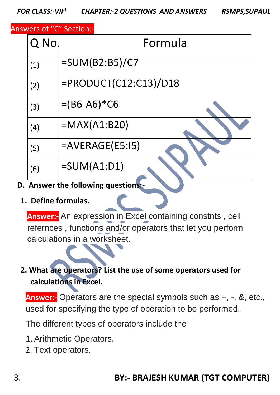Answers of "C" Section:-

| Q No. | Formula                  |
|-------|--------------------------|
| (1)   | $=$ SUM(B2:B5)/C7        |
| (2)   | $=$ PRODUCT(C12:C13)/D18 |
| (3)   | $=(B6-A6)*C6$            |
| (4)   | $=MAX(A1:B20)$           |
| (5)   | $=$ AVERAGE(E5:15)       |
| (6)   | $=SUM(A1:D1)$            |

- **D. Answer the following questions:-**
	- **1. Define formulas.**

**Answer:-** An expression in Excel containing constnts , cell refernces , functions and/or operators that let you perform calculations in a worksheet.

### **2. What are operators? List the use of some operators used for calculations in Excel.**

**Answer:-** Operators are the special symbols such as +, -, &, etc., used for specifying the type of operation to be performed.

The different types of operators include the

- 1. Arithmetic Operators.
- 2. Text operators.